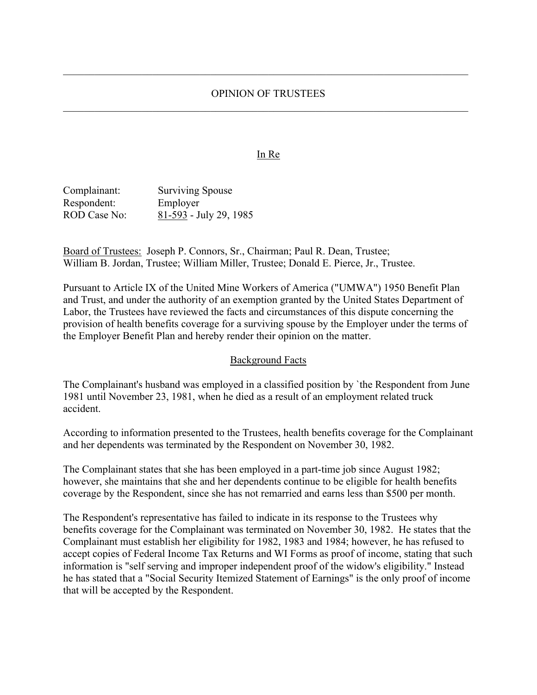#### OPINION OF TRUSTEES

#### In Re

Complainant: Surviving Spouse Respondent: Employer ROD Case No: 81-593 - July 29, 1985

Board of Trustees: Joseph P. Connors, Sr., Chairman; Paul R. Dean, Trustee; William B. Jordan, Trustee; William Miller, Trustee; Donald E. Pierce, Jr., Trustee.

Pursuant to Article IX of the United Mine Workers of America ("UMWA") 1950 Benefit Plan and Trust, and under the authority of an exemption granted by the United States Department of Labor, the Trustees have reviewed the facts and circumstances of this dispute concerning the provision of health benefits coverage for a surviving spouse by the Employer under the terms of the Employer Benefit Plan and hereby render their opinion on the matter.

#### Background Facts

The Complainant's husband was employed in a classified position by `the Respondent from June 1981 until November 23, 1981, when he died as a result of an employment related truck accident.

According to information presented to the Trustees, health benefits coverage for the Complainant and her dependents was terminated by the Respondent on November 30, 1982.

The Complainant states that she has been employed in a part-time job since August 1982; however, she maintains that she and her dependents continue to be eligible for health benefits coverage by the Respondent, since she has not remarried and earns less than \$500 per month.

The Respondent's representative has failed to indicate in its response to the Trustees why benefits coverage for the Complainant was terminated on November 30, 1982. He states that the Complainant must establish her eligibility for 1982, 1983 and 1984; however, he has refused to accept copies of Federal Income Tax Returns and WI Forms as proof of income, stating that such information is "self serving and improper independent proof of the widow's eligibility." Instead he has stated that a "Social Security Itemized Statement of Earnings" is the only proof of income that will be accepted by the Respondent.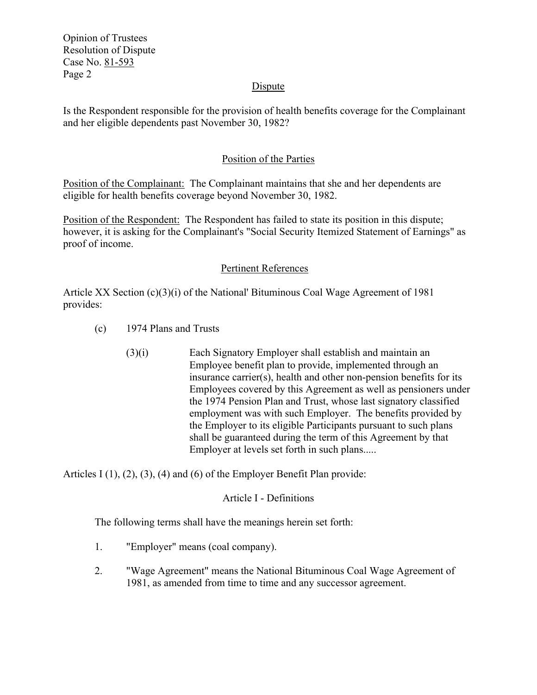Opinion of Trustees Resolution of Dispute Case No. 81-593 Page 2

#### **Dispute**

Is the Respondent responsible for the provision of health benefits coverage for the Complainant and her eligible dependents past November 30, 1982?

### Position of the Parties

Position of the Complainant: The Complainant maintains that she and her dependents are eligible for health benefits coverage beyond November 30, 1982.

Position of the Respondent: The Respondent has failed to state its position in this dispute; however, it is asking for the Complainant's "Social Security Itemized Statement of Earnings" as proof of income.

### Pertinent References

Article XX Section  $(c)(3)(i)$  of the National' Bituminous Coal Wage Agreement of 1981 provides:

- (c) 1974 Plans and Trusts
	- (3)(i) Each Signatory Employer shall establish and maintain an Employee benefit plan to provide, implemented through an insurance carrier(s), health and other non-pension benefits for its Employees covered by this Agreement as well as pensioners under the 1974 Pension Plan and Trust, whose last signatory classified employment was with such Employer. The benefits provided by the Employer to its eligible Participants pursuant to such plans shall be guaranteed during the term of this Agreement by that Employer at levels set forth in such plans.....

Articles I (1), (2), (3), (4) and (6) of the Employer Benefit Plan provide:

### Article I - Definitions

The following terms shall have the meanings herein set forth:

- 1. "Employer" means (coal company).
- 2. "Wage Agreement" means the National Bituminous Coal Wage Agreement of 1981, as amended from time to time and any successor agreement.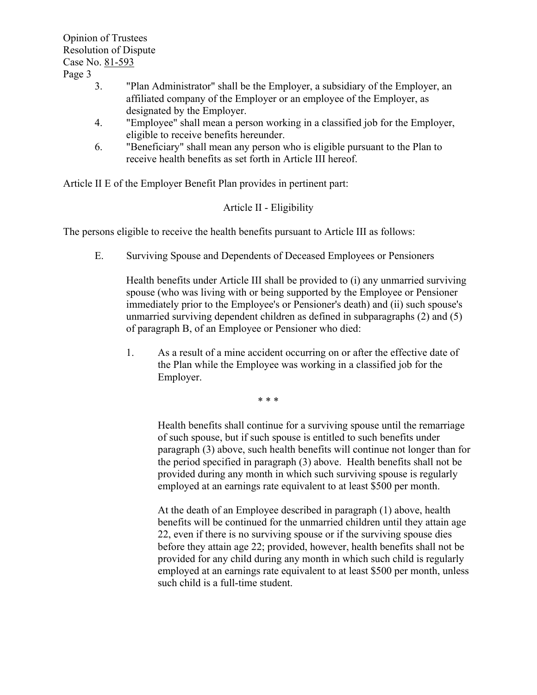Opinion of Trustees Resolution of Dispute Case No. 81-593

Page 3

- 3. "Plan Administrator" shall be the Employer, a subsidiary of the Employer, an affiliated company of the Employer or an employee of the Employer, as designated by the Employer.
- 4. "Employee" shall mean a person working in a classified job for the Employer, eligible to receive benefits hereunder.
- 6. "Beneficiary" shall mean any person who is eligible pursuant to the Plan to receive health benefits as set forth in Article III hereof.

Article II E of the Employer Benefit Plan provides in pertinent part:

# Article II - Eligibility

The persons eligible to receive the health benefits pursuant to Article III as follows:

E. Surviving Spouse and Dependents of Deceased Employees or Pensioners

Health benefits under Article III shall be provided to (i) any unmarried surviving spouse (who was living with or being supported by the Employee or Pensioner immediately prior to the Employee's or Pensioner's death) and (ii) such spouse's unmarried surviving dependent children as defined in subparagraphs (2) and (5) of paragraph B, of an Employee or Pensioner who died:

1. As a result of a mine accident occurring on or after the effective date of the Plan while the Employee was working in a classified job for the Employer.

 $* * *$ 

Health benefits shall continue for a surviving spouse until the remarriage of such spouse, but if such spouse is entitled to such benefits under paragraph (3) above, such health benefits will continue not longer than for the period specified in paragraph (3) above. Health benefits shall not be provided during any month in which such surviving spouse is regularly employed at an earnings rate equivalent to at least \$500 per month.

At the death of an Employee described in paragraph (1) above, health benefits will be continued for the unmarried children until they attain age 22, even if there is no surviving spouse or if the surviving spouse dies before they attain age 22; provided, however, health benefits shall not be provided for any child during any month in which such child is regularly employed at an earnings rate equivalent to at least \$500 per month, unless such child is a full-time student.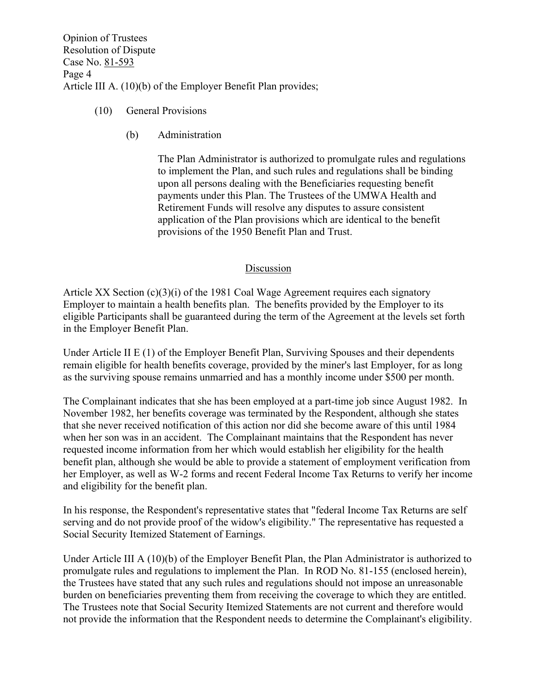Opinion of Trustees Resolution of Dispute Case No. 81-593 Page 4 Article III A. (10)(b) of the Employer Benefit Plan provides;

- (10) General Provisions
	- (b) Administration

The Plan Administrator is authorized to promulgate rules and regulations to implement the Plan, and such rules and regulations shall be binding upon all persons dealing with the Beneficiaries requesting benefit payments under this Plan. The Trustees of the UMWA Health and Retirement Funds will resolve any disputes to assure consistent application of the Plan provisions which are identical to the benefit provisions of the 1950 Benefit Plan and Trust.

### Discussion

Article XX Section  $(c)(3)(i)$  of the 1981 Coal Wage Agreement requires each signatory Employer to maintain a health benefits plan. The benefits provided by the Employer to its eligible Participants shall be guaranteed during the term of the Agreement at the levels set forth in the Employer Benefit Plan.

Under Article II E (1) of the Employer Benefit Plan, Surviving Spouses and their dependents remain eligible for health benefits coverage, provided by the miner's last Employer, for as long as the surviving spouse remains unmarried and has a monthly income under \$500 per month.

The Complainant indicates that she has been employed at a part-time job since August 1982. In November 1982, her benefits coverage was terminated by the Respondent, although she states that she never received notification of this action nor did she become aware of this until 1984 when her son was in an accident. The Complainant maintains that the Respondent has never requested income information from her which would establish her eligibility for the health benefit plan, although she would be able to provide a statement of employment verification from her Employer, as well as W-2 forms and recent Federal Income Tax Returns to verify her income and eligibility for the benefit plan.

In his response, the Respondent's representative states that "federal Income Tax Returns are self serving and do not provide proof of the widow's eligibility." The representative has requested a Social Security Itemized Statement of Earnings.

Under Article III A (10)(b) of the Employer Benefit Plan, the Plan Administrator is authorized to promulgate rules and regulations to implement the Plan. In ROD No. 81-155 (enclosed herein), the Trustees have stated that any such rules and regulations should not impose an unreasonable burden on beneficiaries preventing them from receiving the coverage to which they are entitled. The Trustees note that Social Security Itemized Statements are not current and therefore would not provide the information that the Respondent needs to determine the Complainant's eligibility.